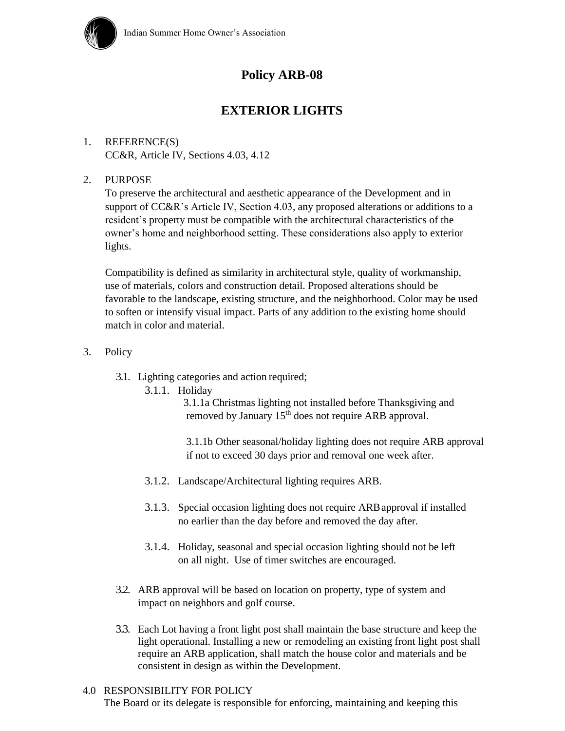

# **Policy ARB-08**

## **EXTERIOR LIGHTS**

## 1. REFERENCE(S) CC&R, Article IV, Sections 4.03, 4.12

### 2. PURPOSE

To preserve the architectural and aesthetic appearance of the Development and in support of CC&R's Article IV, Section 4.03, any proposed alterations or additions to a resident's property must be compatible with the architectural characteristics of the owner's home and neighborhood setting. These considerations also apply to exterior lights.

Compatibility is defined as similarity in architectural style, quality of workmanship, use of materials, colors and construction detail. Proposed alterations should be favorable to the landscape, existing structure, and the neighborhood. Color may be used to soften or intensify visual impact. Parts of any addition to the existing home should match in color and material.

- 3. Policy
	- 3.1. Lighting categories and action required;
		- 3.1.1. Holiday

3.1.1a Christmas lighting not installed before Thanksgiving and removed by January 15<sup>th</sup> does not require ARB approval.

3.1.1b Other seasonal/holiday lighting does not require ARB approval if not to exceed 30 days prior and removal one week after.

- 3.1.2. Landscape/Architectural lighting requires ARB.
- 3.1.3. Special occasion lighting does not require ARBapproval if installed no earlier than the day before and removed the day after.
- 3.1.4. Holiday, seasonal and special occasion lighting should not be left on all night. Use of timer switches are encouraged.
- 3.2. ARB approval will be based on location on property, type of system and impact on neighbors and golf course.
- 3.3. Each Lot having a front light post shall maintain the base structure and keep the light operational. Installing a new or remodeling an existing front light post shall require an ARB application, shall match the house color and materials and be consistent in design as within the Development.

#### 4.0 RESPONSIBILITY FOR POLICY

The Board or its delegate is responsible for enforcing, maintaining and keeping this